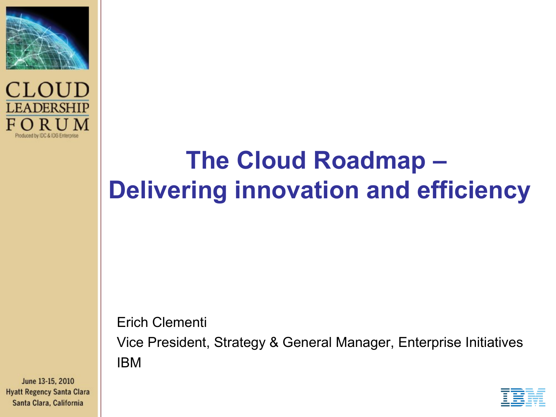



# **The Cloud Roadmap – Delivering innovation and efficiency**

#### Erich Clementi

Vice President, Strategy & General Manager, Enterprise Initiatives IBM

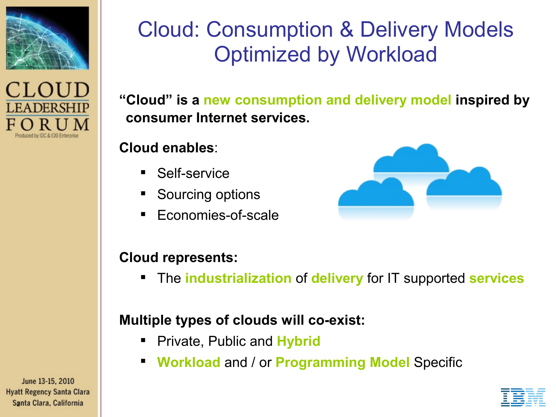



## Cloud: Consumption & Delivery Models Optimized by Workload

**"Cloud" is a new consumption and delivery model inspired by consumer Internet services.**

#### **Cloud enables**:

- Self-service
- Sourcing options
- **Economies-of-scale**



#### **Cloud represents:**

The **industrialization** of **delivery** for IT supported **services**

#### **Multiple types of clouds will co-exist:**

- **Private, Public and Hybrid**
- **Workload** and / or **Programming Model** Specific

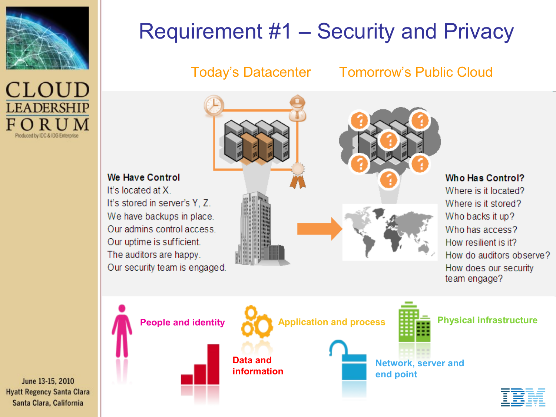



We Have Control

It's located at X.

## Requirement #1 – Security and Privacy

#### Today's Datacenter Tomorrow's Public Cloud



Who Has Control?

Where is it located? Where is it stored? Who backs it up? Who has access? How resilient is it? How do auditors observe? How does our security team engage?

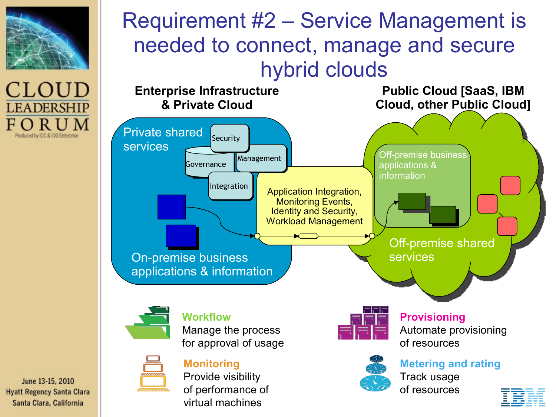

CLOUD **LEADERSHIP** Produced by IDC & IDG Enterprise

## Requirement #2 – Service Management is needed to connect, manage and secure hybrid clouds



June 13-15, 2010 **Hyatt Regency Santa Clara** Santa Clara, California

of performance of virtual machines

of resources

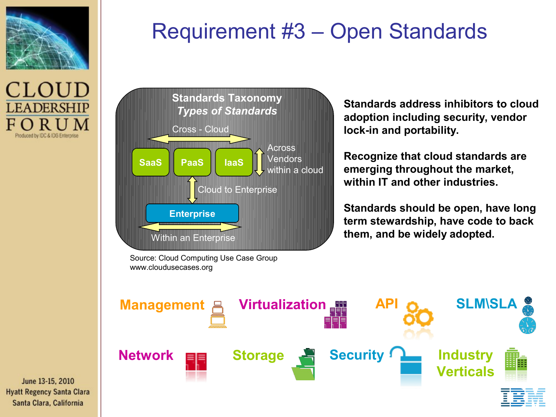



## Requirement #3 – Open Standards



Source: Cloud Computing Use Case Group www.cloudusecases.org

**Standards address inhibitors to cloud adoption including security, vendor lock-in and portability.**

**Recognize that cloud standards are emerging throughout the market, within IT and other industries.**

**Standards should be open, have long term stewardship, have code to back them, and be widely adopted.** 

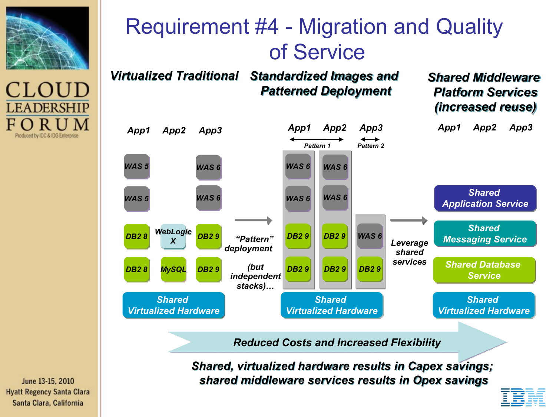



## Requirement #4 - Migration and Quality of Service



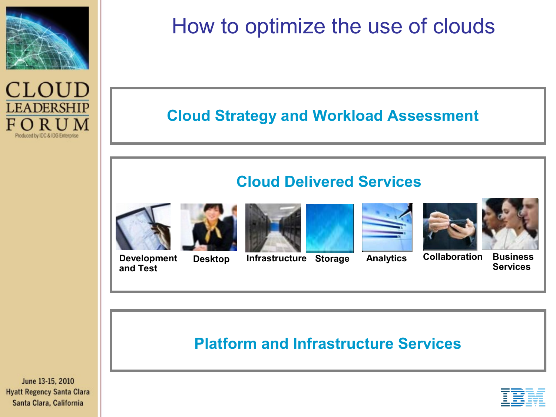



## How to optimize the use of clouds

#### **Cloud Strategy and Workload Assessment**

#### **Cloud Delivered Services**













**Development and Test**

**Desktop Infrastructure Storage Analytics Collaboration Business** 

**Services**

#### **Platform and Infrastructure Services**



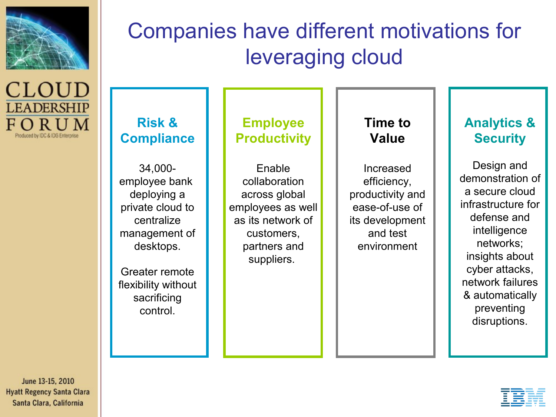

CLOUD **LEADERSHIP** FORUM Produced by IDC & IDG Enterprise

## Companies have different motivations for leveraging cloud

**Risk & Compliance**

34,000 employee bank deploying a private cloud to centralize management of desktops.

Greater remote flexibility without sacrificing control.

**Employee Productivity**

Enable collaboration across global employees as well as its network of customers, partners and suppliers.

**Time to Value**

Increased efficiency, productivity and ease-of-use of its development and test environment

#### **Analytics & Security**

Design and demonstration of a secure cloud infrastructure for defense and intelligence networks; insights about cyber attacks, network failures & automatically preventing disruptions.

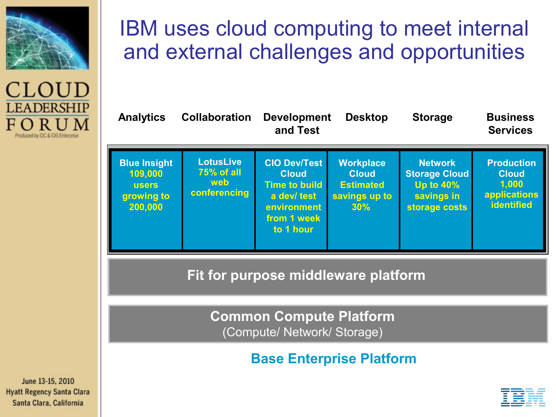

### CLOUD **LEADERSHIP** Produced by IDC & IDG Enterprise

### IBM uses cloud computing to meet internal and external challenges and opportunities

| <b>Analytics</b>                                                        | <b>Collaboration</b>                                  | <b>Development</b><br>and Test                                                                                        | <b>Desktop</b>                                                               | <b>Storage</b>                                                                            | <b>Business</b><br><b>Services</b>                                       |
|-------------------------------------------------------------------------|-------------------------------------------------------|-----------------------------------------------------------------------------------------------------------------------|------------------------------------------------------------------------------|-------------------------------------------------------------------------------------------|--------------------------------------------------------------------------|
| <b>Blue Insight</b><br>109,000<br><b>users</b><br>growing to<br>200,000 | <b>LotusLive</b><br>75% of all<br>web<br>conferencing | <b>CIO Dev/Test</b><br><b>Cloud</b><br><b>Time to build</b><br>a dev/ test<br>environment<br>from 1 week<br>to 1 hour | <b>Workplace</b><br><b>Cloud</b><br><b>Estimated</b><br>savings up to<br>30% | <b>Network</b><br><b>Storage Cloud</b><br><b>Up to 40%</b><br>savings in<br>storage costs | <b>Production</b><br><b>Cloud</b><br>1,000<br>applications<br>identified |

**Fit for purpose middleware platform**

**Common Compute Platform** (Compute/ Network/ Storage)

**Base Enterprise Platform**

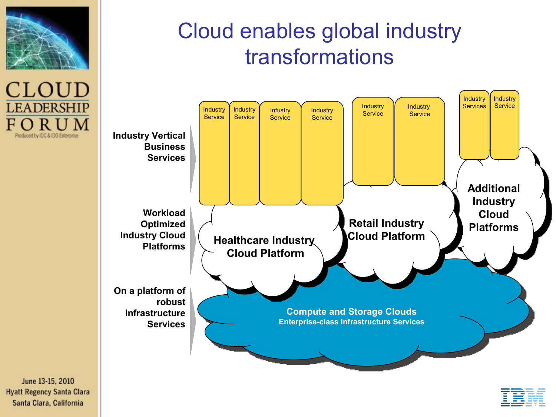

CLOUD **LEADERSHIP** F Produced by IDC & IDG Enterprise

## Cloud enables global industry transformations



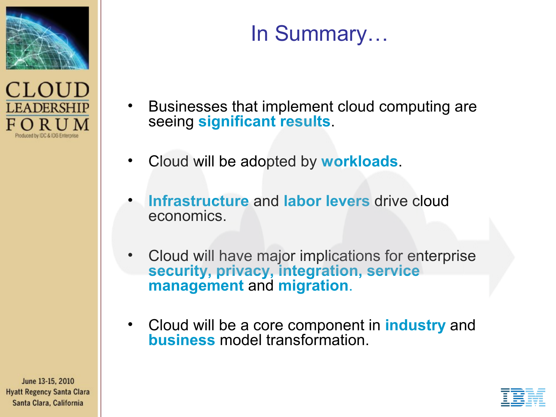



## In Summary…

- Businesses that implement cloud computing are seeing **significant results**.
- Cloud will be adopted by **workloads**.
- **Infrastructure** and **labor levers** drive cloud economics.
- Cloud will have major implications for enterprise **security, privacy, integration, service management** and **migration**.
- Cloud will be a core component in **industry** and **business** model transformation.